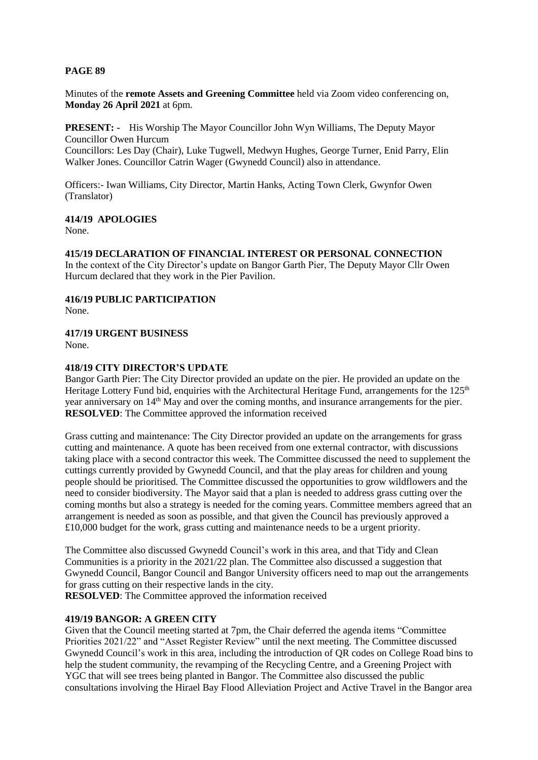## **PAGE 89**

Minutes of the **remote Assets and Greening Committee** held via Zoom video conferencing on, **Monday 26 April 2021** at 6pm.

**PRESENT: -** His Worship The Mayor Councillor John Wyn Williams, The Deputy Mayor Councillor Owen Hurcum

Councillors: Les Day (Chair), Luke Tugwell, Medwyn Hughes, George Turner, Enid Parry, Elin Walker Jones. Councillor Catrin Wager (Gwynedd Council) also in attendance.

Officers:- Iwan Williams, City Director, Martin Hanks, Acting Town Clerk, Gwynfor Owen (Translator)

### **414/19 APOLOGIES**

None.

### **415/19 DECLARATION OF FINANCIAL INTEREST OR PERSONAL CONNECTION**

In the context of the City Director's update on Bangor Garth Pier, The Deputy Mayor Cllr Owen Hurcum declared that they work in the Pier Pavilion.

### **416/19 PUBLIC PARTICIPATION**

None.

### **417/19 URGENT BUSINESS**

None.

### **418/19 CITY DIRECTOR'S UPDATE**

Bangor Garth Pier: The City Director provided an update on the pier. He provided an update on the Heritage Lottery Fund bid, enquiries with the Architectural Heritage Fund, arrangements for the 125<sup>th</sup> year anniversary on 14<sup>th</sup> May and over the coming months, and insurance arrangements for the pier. **RESOLVED**: The Committee approved the information received

Grass cutting and maintenance: The City Director provided an update on the arrangements for grass cutting and maintenance. A quote has been received from one external contractor, with discussions taking place with a second contractor this week. The Committee discussed the need to supplement the cuttings currently provided by Gwynedd Council, and that the play areas for children and young people should be prioritised. The Committee discussed the opportunities to grow wildflowers and the need to consider biodiversity. The Mayor said that a plan is needed to address grass cutting over the coming months but also a strategy is needed for the coming years. Committee members agreed that an arrangement is needed as soon as possible, and that given the Council has previously approved a £10,000 budget for the work, grass cutting and maintenance needs to be a urgent priority.

The Committee also discussed Gwynedd Council's work in this area, and that Tidy and Clean Communities is a priority in the 2021/22 plan. The Committee also discussed a suggestion that Gwynedd Council, Bangor Council and Bangor University officers need to map out the arrangements for grass cutting on their respective lands in the city.

**RESOLVED**: The Committee approved the information received

# **419/19 BANGOR: A GREEN CITY**

Given that the Council meeting started at 7pm, the Chair deferred the agenda items "Committee Priorities 2021/22" and "Asset Register Review" until the next meeting. The Committee discussed Gwynedd Council's work in this area, including the introduction of QR codes on College Road bins to help the student community, the revamping of the Recycling Centre, and a Greening Project with YGC that will see trees being planted in Bangor. The Committee also discussed the public consultations involving the Hirael Bay Flood Alleviation Project and Active Travel in the Bangor area